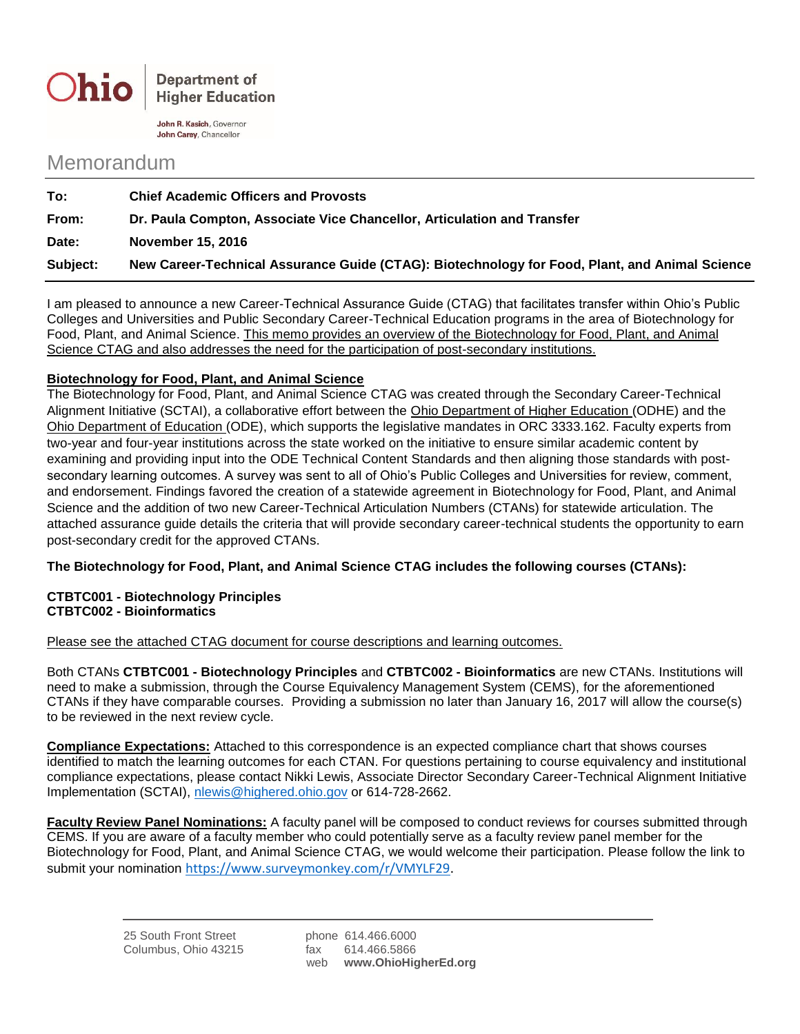

John R. Kasich, Governor John Carey, Chancellor

## Memorandum

| To:      | <b>Chief Academic Officers and Provosts</b>                                                    |
|----------|------------------------------------------------------------------------------------------------|
| From:    | Dr. Paula Compton, Associate Vice Chancellor, Articulation and Transfer                        |
| Date:    | November 15, 2016                                                                              |
| Subject: | New Career-Technical Assurance Guide (CTAG): Biotechnology for Food, Plant, and Animal Science |

I am pleased to announce a new Career-Technical Assurance Guide (CTAG) that facilitates transfer within Ohio's Public Colleges and Universities and Public Secondary Career-Technical Education programs in the area of Biotechnology for Food, Plant, and Animal Science. This memo provides an overview of the Biotechnology for Food, Plant, and Animal Science CTAG and also addresses the need for the participation of post-secondary institutions.

## **Biotechnology for Food, Plant, and Animal Science**

The Biotechnology for Food, Plant, and Animal Science CTAG was created through the Secondary Career-Technical Alignment Initiative (SCTAI), a collaborative effort between the Ohio Department of Higher Education (ODHE) and the Ohio Department of Education (ODE), which supports the legislative mandates in ORC 3333.162. Faculty experts from two-year and four-year institutions across the state worked on the initiative to ensure similar academic content by examining and providing input into the ODE Technical Content Standards and then aligning those standards with postsecondary learning outcomes. A survey was sent to all of Ohio's Public Colleges and Universities for review, comment, and endorsement. Findings favored the creation of a statewide agreement in Biotechnology for Food, Plant, and Animal Science and the addition of two new Career-Technical Articulation Numbers (CTANs) for statewide articulation. The attached assurance guide details the criteria that will provide secondary career-technical students the opportunity to earn post-secondary credit for the approved CTANs.

**The Biotechnology for Food, Plant, and Animal Science CTAG includes the following courses (CTANs):**

## **CTBTC001 - Biotechnology Principles CTBTC002 - Bioinformatics**

Please see the attached CTAG document for course descriptions and learning outcomes.

Both CTANs **CTBTC001 - Biotechnology Principles** and **CTBTC002 - Bioinformatics** are new CTANs. Institutions will need to make a submission, through the Course Equivalency Management System (CEMS), for the aforementioned CTANs if they have comparable courses. Providing a submission no later than January 16, 2017 will allow the course(s) to be reviewed in the next review cycle.

**Compliance Expectations:** Attached to this correspondence is an expected compliance chart that shows courses identified to match the learning outcomes for each CTAN. For questions pertaining to course equivalency and institutional compliance expectations, please contact Nikki Lewis, Associate Director Secondary Career-Technical Alignment Initiative Implementation (SCTAI), [nlewis@highered.ohio.gov](mailto:nlewis@highered.ohio.gov) or 614-728-2662.

**Faculty Review Panel Nominations:** A faculty panel will be composed to conduct reviews for courses submitted through CEMS. If you are aware of a faculty member who could potentially serve as a faculty review panel member for the Biotechnology for Food, Plant, and Animal Science CTAG, we would welcome their participation. Please follow the link to submit your nomination [https://www.surveymonkey.com/r/VMYLF29.](https://www.surveymonkey.com/r/VMYLF29)

web **www.OhioHigherEd.org**